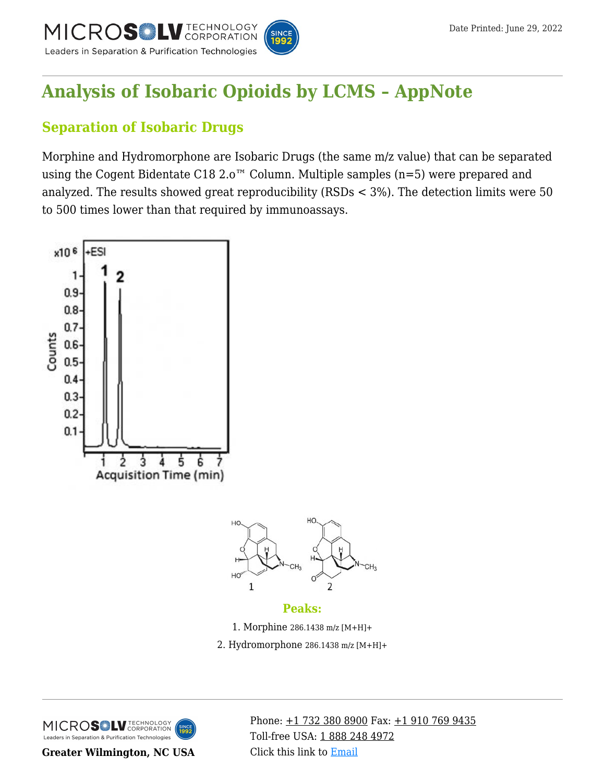

## **[Analysis of Isobaric Opioids by LCMS – AppNote](https://kb.mtc-usa.com/article/aa-02397/46/)**

### **Separation of Isobaric Drugs**

Morphine and Hydromorphone are Isobaric Drugs (the same m/z value) that can be separated using the Cogent Bidentate C18 2.0<sup>™</sup> Column. Multiple samples (n=5) were prepared and analyzed. The results showed great reproducibility (RSDs < 3%). The detection limits were 50 to 500 times lower than that required by immunoassays.



MICROS LU TECHNOLOGY Leaders in Separation & Purification Technologies

**Greater Wilmington, NC USA**

Phone:  $\pm$ 1 732 380 8900 Fax:  $\pm$ 1 910 769 9435 Toll-free USA: [1 888 248 4972](#page--1-0) Click this link to [Email](https://www.mtc-usa.com/contact)

CH.

 $\overline{2}$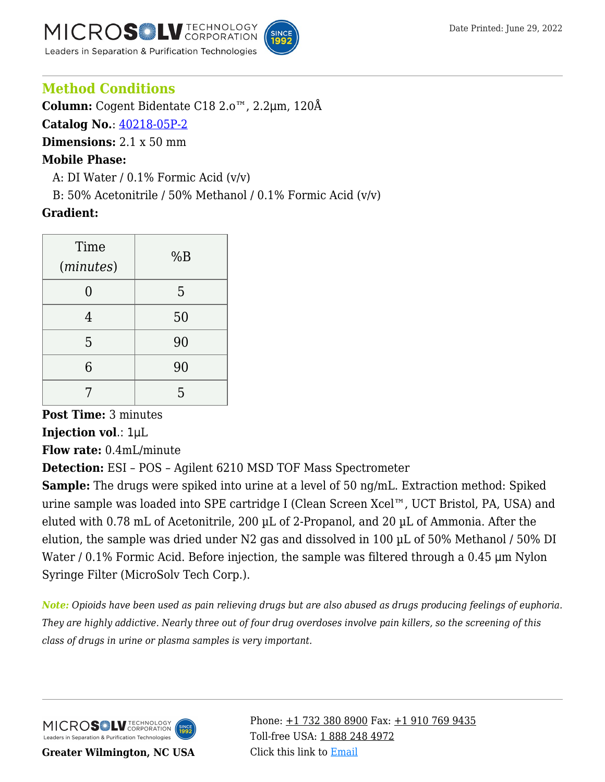**V** TECHNOLOGY MICROSIN Leaders in Separation & Purification Technologies



#### **Method Conditions**

**Column:** Cogent Bidentate C18 2.o™, 2.2μm, 120Å

**Catalog No.**: [40218-05P-2](https://www.mtc-usa.com/product-details/id/4115510)

**Dimensions:** 2.1 x 50 mm

#### **Mobile Phase:**

A: DI Water /  $0.1\%$  Formic Acid (v/v)

B: 50% Acetonitrile / 50% Methanol / 0.1% Formic Acid  $(v/v)$ 

#### **Gradient:**

| Time<br>(minutes) | %B |
|-------------------|----|
|                   | 5  |
| 4                 | 50 |
| 5                 | 90 |
| 6                 | 90 |
|                   | 5  |

# **Post Time:** 3 minutes

**Injection vol**.: 1μL

**Flow rate:** 0.4mL/minute

**Detection:** ESI – POS – Agilent 6210 MSD TOF Mass Spectrometer

**Sample:** The drugs were spiked into urine at a level of 50 ng/mL. Extraction method: Spiked urine sample was loaded into SPE cartridge I (Clean Screen Xcel™, UCT Bristol, PA, USA) and eluted with 0.78 mL of Acetonitrile, 200 µL of 2-Propanol, and 20 µL of Ammonia. After the elution, the sample was dried under N2 gas and dissolved in 100 µL of 50% Methanol / 50% DI Water / 0.1% Formic Acid. Before injection, the sample was filtered through a 0.45 μm Nylon Syringe Filter (MicroSolv Tech Corp.).

*Note: Opioids have been used as pain relieving drugs but are also abused as drugs producing feelings of euphoria. They are highly addictive. Nearly three out of four drug overdoses involve pain killers, so the screening of this class of drugs in urine or plasma samples is very important.*

MICROS LU TECHNOLOGY Leaders in Separation & Purification Technologies

**Greater Wilmington, NC USA**

Phone:  $\pm$ 1 732 380 8900 Fax:  $\pm$ 1 910 769 9435 Toll-free USA: [1 888 248 4972](#page--1-0) Click this link to [Email](https://www.mtc-usa.com/contact)